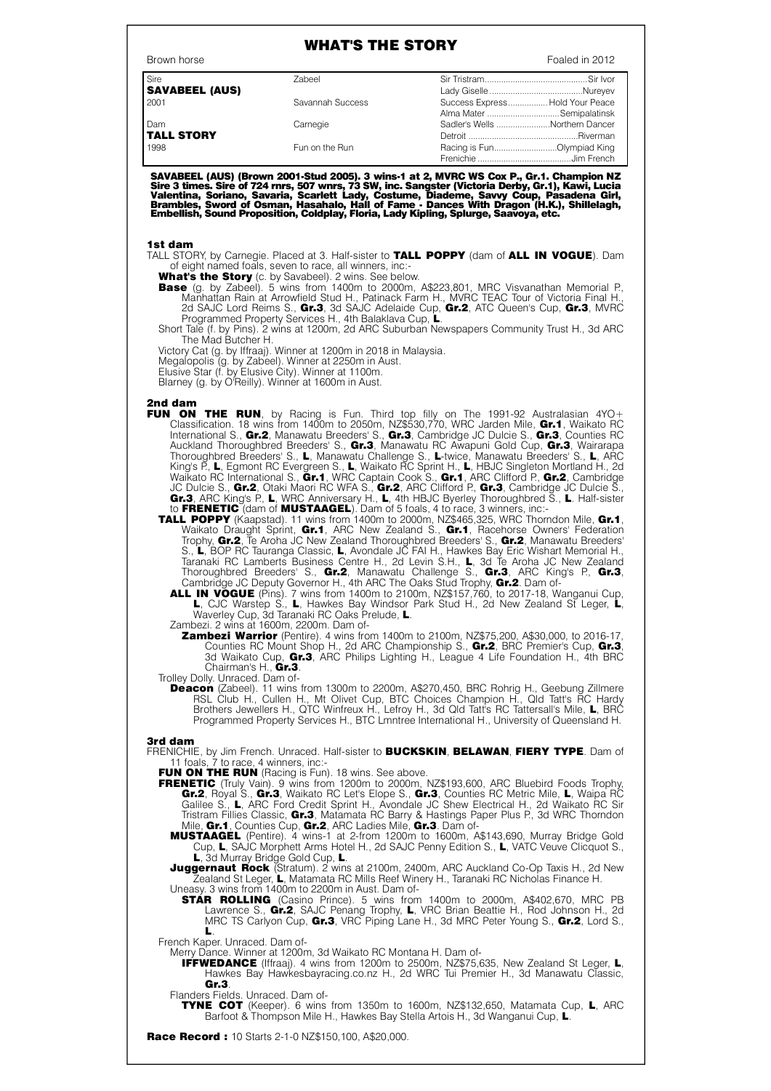## WHAT'S THE STORY

| Brown horse           |                  | Foaled in 2012 |                                 |
|-----------------------|------------------|----------------|---------------------------------|
| Sire                  | Zabeel           |                |                                 |
| <b>SAVABEEL (AUS)</b> |                  |                |                                 |
| 2001                  | Savannah Success |                | Success Express Hold Your Peace |
|                       |                  |                | Alma Mater  Semipalatinsk       |
| Dam                   | Carnegie         |                | Sadler's Wells Northern Dancer  |
| <b>TALL STORY</b>     |                  |                |                                 |
| 1998                  | Fun on the Run   |                | Racing is FunOlympiad King      |
|                       |                  |                |                                 |

SAVABEEL (AUS) (Brown 2001-Stud 2005). 3 wins-1 at 2, MVRC WS Cox P., Gr.1. Champion NZ<br>Sire 3 times. Sire of 724 rnrs, 507 wnrs, 73 SW, inc. Sangster (Victoria Derby, Gr.1), Kawi, Lucia<br>Valentina, Soriano, Savaria, Scarle

## 1st dam

TALL STORY, by Carnegie. Placed at 3. Half-sister to TALL POPPY (dam of ALL IN VOGUE). Dam of eight named foals, seven to race, all winners, inc:-

What's the Story (c. by Savabeel). 2 wins. See below.

- **Base** (g. by Zabeel). 5 wins from 1400m to 2000m, A\$223,801, MRC Visvanathan Memorial P. Manhattan Rain at Arrowfield Stud H., Patinack Farm H., MVRC TEAC Tour of Victoria Final H., 2d SAJC Lord Reims S., Gr.3, 3d SAJC Adelaide Cup, Gr.2, ATC Queen's Cup, Gr.3, MVRC Programmed Property Services H., 4th Balaklava Cup, L.
- Short Tale (f. by Pins). 2 wins at 1200m, 2d ARC Suburban Newspapers Community Trust H., 3d ARC The Mad Butcher H.
- Victory Cat (g. by Iffraaj). Winner at 1200m in 2018 in Malaysia.
- Megalopolis (g. by Zabeel). Winner at 2250m in Aust.

Elusive Star (f. by Elusive City). Winner at 1100m.

Blarney (g. by O'Reilly). Winner at 1600m in Aust.

## 2nd dam

- FUN ON THE RUN, by Racing is Fun. Third top filly on The 1991-92 Australasian 4YO+ Classification. 18 wins from 1400m to 2050m, NZ\$530,770, WRC Jarden Mile, Gr.1, Waikato RC International S., Gr.2, Manawatu Breeders' S., Gr.3, Cambridge JC Dulcie S., Gr.3, Counties RC Auckland Thoroughbred Breeders' S., Gr.3, Manawatu RC Awapuni Gold Cup, Gr.3, Wairarapa Thoroughbred Breeders' S., L, Manawatu Challenge S., L-twice, Manawatu Breeders' S., L, ARC King's P., L, Egmont RC Evergreen S., L, Waikato RC Sprint H., L, HBJC Singleton Mortland H., 2d Waikato RC International S., Gr.1, WRC Captain Cook S., Gr.1, ARC Clifford P., Gr.2, Cambridge JC Dulcie S., Gr.2, Otaki Maori RC WFA S., Gr.2, ARC Clifford P., Gr.3, Cambridge JC Dulcie S., Gr.3, ARC King's P., L, WRC Anniversary H., L, 4th HBJC Byerley Thoroughbred S., L. Half-sister to FRENETIC (dam of MUSTAAGEL). Dam of 5 foals, 4 to race, 3 winners, inc:-
	- TALL POPPY (Kaapstad). 11 wins from 1400m to 2000m, NZ\$465,325, WRC Thorndon Mile, Gr.1, Waikato Draught Sprint, Gr.1, ARC New Zealand S., Gr.1, Racehorse Owners' Federation Trophy, Gr.2, Te Aroha JC New Zealand Thoroughbred Breeders' S., Gr.2, Manawatu Breeders' S., L, BOP RC Tauranga Classic, L, Avondale JC FAI H., Hawkes Bay Eric Wishart Memorial H., Taranaki RC Lamberts Business Centre H., 2d Levin S.H., L, 3d Te Aroha JC New Zealand Thoroughbred Breeders' S., Gr.2, Manawatu Challenge S., Gr.3, ARC King's P., Gr.3, Cambridge JC Deputy Governor H., 4th ARC The Oaks Stud Trophy, Gr.2. Dam of-

**ALL IN VOGUE** (Pins). 7 wins from 1400m to 2100m, NZ\$157,760, to 2017-18, Wanganui Cup, L, CJC Warstep S., L, Hawkes Bay Windsor Park Stud H., 2d New Zealand St Leger, L, Waverley Cup, 3d Taranaki RC Oaks Prelude, L.

Zambezi. 2 wins at 1600m, 2200m. Dam of-

**Zambezi Warrior** (Pentire). 4 wins from 1400m to 2100m, NZ\$75,200, A\$30,000, to 2016-17, Counties RC Mount Shop H., 2d ARC Championship S., Gr.2, BRC Premier's Cup, Gr.3, 3d Waikato Cup, Gr.3, ARC Philips Lighting H., League 4 Life Foundation H., 4th BRC Chairman's H., Gr.3.

Trolley Dolly. Unraced. Dam of-

**Deacon** (Zabeel). 11 wins from 1300m to 2200m, A\$270,450, BRC Rohrig H., Geebung Zillmere RSL Club H., Cullen H., Mt Olivet Cup, BTC Choices Champion H., Qld Tatt's RC Hardy Brothers Jewellers H., QTC Winfreux H., Lefroy H., 3d Qld Tatt's RC Tattersall's Mile, L, BRC Programmed Property Services H., BTC Lmntree International H., University of Queensland H.

## 3rd dam

FRENICHIE, by Jim French. Unraced. Half-sister to **BUCKSKIN, BELAWAN, FIERY TYPE**. Dam of 11 foals, 7 to race, 4 winners, inc:-

FUN ON THE RUN (Racing is Fun). 18 wins. See above.

- **FRENETIC** (Truly Vain). 9 wins from 1200m to 2000m, NZ\$193,600, ARC Bluebird Foods Trophy, Gr.2, Royal S., Gr.3, Waikato RC Let's Elope S., Gr.3, Counties RC Metric Mile, L, Waipa RC Galilee S., L, ARC Ford Credit Sprint H., Avondale JC Shew Electrical H., 2d Waikato RC Sir Tristram Fillies Classic, Gr.3, Matamata RC Barry & Hastings Paper Plus P., 3d WRC Thorndon Mile, Gr.1, Counties Cup, Gr.2, ARC Ladies Mile, Gr.3. Dam of-
	- MUSTAAGEL (Pentire). 4 wins-1 at 2-from 1200m to 1600m, A\$143,690, Murray Bridge Gold Cup, L, SAJC Morphett Arms Hotel H., 2d SAJC Penny Edition S., L, VATC Veuve Clicquot S., L, 3d Murray Bridge Gold Cup, L.

**Juggernaut Rock** (Stratum). 2 wins at 2100m, 2400m, ARC Auckland Co-Op Taxis H., 2d New Zealand St Leger, L, Matamata RC Mills Reef Winery H., Taranaki RC Nicholas Finance H. Uneasy. 3 wins from 1400m to 2200m in Aust. Dam of-

**STAR ROLLING** (Casino Prince). 5 wins from 1400m to 2000m, A\$402,670, MRC PB Lawrence S., Gr.2, SAJC Penang Trophy, L, VRC Brian Beattie H., Rod Johnson H., 2d MRC TS Carlyon Cup, Gr.3, VRC Piping Lane H., 3d MRC Peter Young S., Gr.2, Lord S., L.

French Kaper. Unraced. Dam of-

Merry Dance. Winner at 1200m, 3d Waikato RC Montana H. Dam of-

**IFFWEDANCE** (Iffraaj). 4 wins from 1200m to 2500m, NZ\$75,635, New Zealand St Leger, L, Hawkes Bay Hawkesbayracing.co.nz H., 2d WRC Tui Premier H., 3d Manawatu Classic, Gr.3.

Flanders Fields. Unraced. Dam of-

TYNE COT (Keeper). 6 wins from 1350m to 1600m, NZ\$132,650, Matamata Cup, L, ARC Barfoot & Thompson Mile H., Hawkes Bay Stella Artois H., 3d Wanganui Cup, L.

**Race Record:** 10 Starts 2-1-0 NZ\$150,100, A\$20,000.